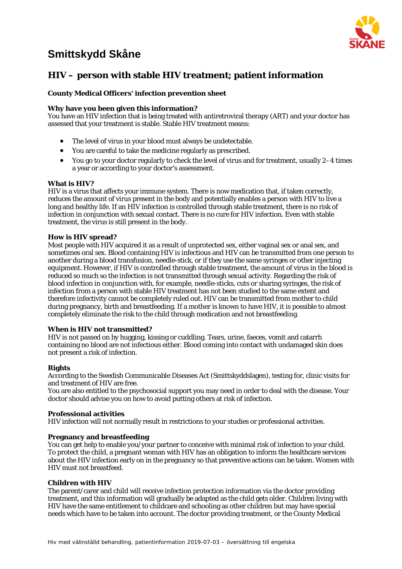# **Smittskydd Skåne**



# **HIV – person with stable HIV treatment; patient information**

# **County Medical Officers' infection prevention sheet**

# **Why have you been given this information?**

You have an HIV infection that is being treated with antiretroviral therapy (ART) and your doctor has assessed that your treatment is stable. Stable HIV treatment means:

- The level of virus in your blood must always be undetectable.
- You are careful to take the medicine regularly as prescribed.
- You go to your doctor regularly to check the level of virus and for treatment, usually 2–4 times a year or according to your doctor's assessment.

#### **What is HIV?**

HIV is a virus that affects your immune system. There is now medication that, if taken correctly, reduces the amount of virus present in the body and potentially enables a person with HIV to live a long and healthy life. If an HIV infection is controlled through stable treatment, there is no risk of infection in conjunction with sexual contact. There is no cure for HIV infection. Even with stable treatment, the virus is still present in the body.

#### **How is HIV spread?**

Most people with HIV acquired it as a result of unprotected sex, either vaginal sex or anal sex, and sometimes oral sex. Blood containing HIV is infectious and HIV can be transmitted from one person to another during a blood transfusion, needle-stick, or if they use the same syringes or other injecting equipment. However, if HIV is controlled through stable treatment, the amount of virus in the blood is reduced so much so the infection is not transmitted through sexual activity. Regarding the risk of blood infection in conjunction with, for example, needle-sticks, cuts or sharing syringes, the risk of infection from a person with stable HIV treatment has not been studied to the same extent and therefore infectivity cannot be completely ruled out. HIV can be transmitted from mother to child during pregnancy, birth and breastfeeding. If a mother is known to have HIV, it is possible to almost completely eliminate the risk to the child through medication and not breastfeeding.

#### **When is HIV not transmitted?**

HIV is not passed on by hugging, kissing or cuddling. Tears, urine, faeces, vomit and catarrh containing no blood are not infectious either. Blood coming into contact with undamaged skin does not present a risk of infection.

# **Rights**

According to the Swedish Communicable Diseases Act (Smittskyddslagen), testing for, clinic visits for and treatment of HIV are free.

You are also entitled to the psychosocial support you may need in order to deal with the disease. Your doctor should advise you on how to avoid putting others at risk of infection.

#### **Professional activities**

HIV infection will not normally result in restrictions to your studies or professional activities.

# **Pregnancy and breastfeeding**

You can get help to enable you/your partner to conceive with minimal risk of infection to your child. To protect the child, a pregnant woman with HIV has an obligation to inform the healthcare services about the HIV infection early on in the pregnancy so that preventive actions can be taken. Women with HIV must not breastfeed.

# **Children with HIV**

The parent/carer and child will receive infection protection information via the doctor providing treatment, and this information will gradually be adapted as the child gets older. Children living with HIV have the same entitlement to childcare and schooling as other children but may have special needs which have to be taken into account. The doctor providing treatment, or the County Medical